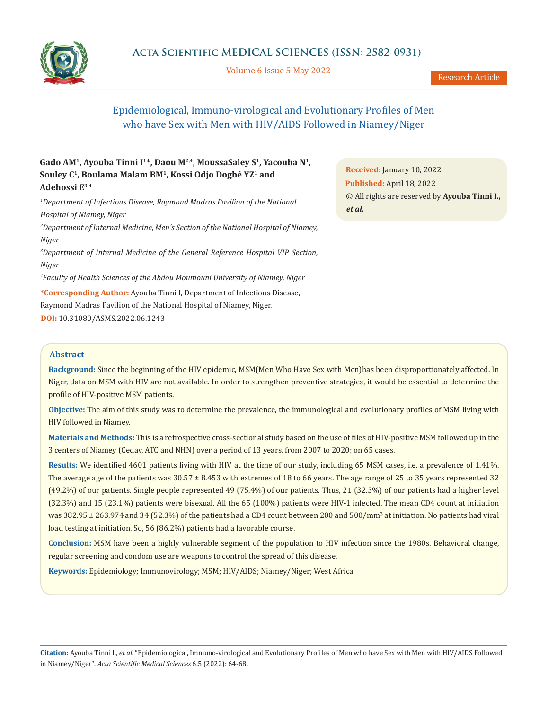

Volume 6 Issue 5 May 2022

# Epidemiological, Immuno-virological and Evolutionary Profiles of Men who have Sex with Men with HIV/AIDS Followed in Niamey/Niger

## Gado AM<sup>1</sup>, Ayouba Tinni I<sup>1\*</sup>, Daou M<sup>2,4</sup>, MoussaSaley S<sup>1</sup>, Yacouba N<sup>1</sup>, **Souley C1, Boulama Malam BM1, Kossi Odjo Dogbé YZ1 and Adehossi E3,4**

<sup>1</sup>Department of Infectious Disease, Raymond Madras Pavilion of the National *Hospital of Niamey, Niger*

*2 Department of Internal Medicine, Men's Section of the National Hospital of Niamey, Niger*

*3 Department of Internal Medicine of the General Reference Hospital VIP Section, Niger*

*4 Faculty of Health Sciences of the Abdou Moumouni University of Niamey, Niger*

**\*Corresponding Author:** Ayouba Tinni I, Department of Infectious Disease, Raymond Madras Pavilion of the National Hospital of Niamey, Niger. **DOI:** [10.31080/ASMS.2022.06.1243](https://actascientific.com/ASMS/pdf/ASMS-06-1243.pdf)

**Received:** January 10, 2022 **Published:** April 18, 2022 © All rights are reserved by **Ayouba Tinni I.,**  *et al.*

## **Abstract**

**Background:** Since the beginning of the HIV epidemic, MSM(Men Who Have Sex with Men)has been disproportionately affected. In Niger, data on MSM with HIV are not available. In order to strengthen preventive strategies, it would be essential to determine the profile of HIV-positive MSM patients.

**Objective:** The aim of this study was to determine the prevalence, the immunological and evolutionary profiles of MSM living with HIV followed in Niamey.

**Materials and Methods:** This is a retrospective cross-sectional study based on the use of files of HIV-positive MSM followed up in the 3 centers of Niamey (Cedav, ATC and NHN) over a period of 13 years, from 2007 to 2020; on 65 cases.

**Results:** We identified 4601 patients living with HIV at the time of our study, including 65 MSM cases, i.e. a prevalence of 1.41%. The average age of the patients was 30.57 ± 8.453 with extremes of 18 to 66 years. The age range of 25 to 35 years represented 32 (49.2%) of our patients. Single people represented 49 (75.4%) of our patients. Thus, 21 (32.3%) of our patients had a higher level (32.3%) and 15 (23.1%) patients were bisexual. All the 65 (100%) patients were HIV-1 infected. The mean CD4 count at initiation was  $382.95 \pm 263.974$  and  $34$  (52.3%) of the patients had a CD4 count between 200 and 500/mm<sup>3</sup> at initiation. No patients had viral load testing at initiation. So, 56 (86.2%) patients had a favorable course.

**Conclusion:** MSM have been a highly vulnerable segment of the population to HIV infection since the 1980s. Behavioral change, regular screening and condom use are weapons to control the spread of this disease.

**Keywords:** Epidemiology; Immunovirology; MSM; HIV/AIDS; Niamey/Niger; West Africa

**Citation:** Ayouba Tinni I*., et al.* "Epidemiological, Immuno-virological and Evolutionary Profiles of Men who have Sex with Men with HIV/AIDS Followed in Niamey/Niger". *Acta Scientific Medical Sciences* 6.5 (2022): 64-68.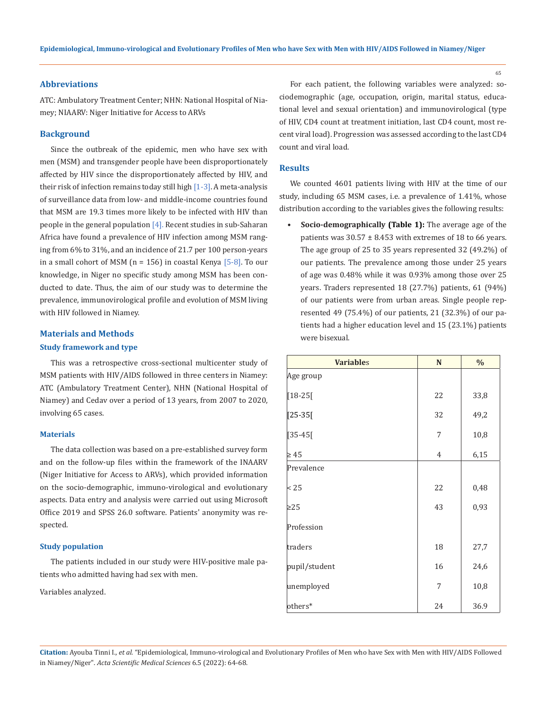## **Abbreviations**

ATC: Ambulatory Treatment Center; NHN: National Hospital of Niamey; NIAARV: Niger Initiative for Access to ARVs

#### **Background**

Since the outbreak of the epidemic, men who have sex with men (MSM) and transgender people have been disproportionately affected by HIV since the disproportionately affected by HIV, and their risk of infection remains today still high [1-3]. A meta-analysis of surveillance data from low- and middle-income countries found that MSM are 19.3 times more likely to be infected with HIV than people in the general population  $[4]$ . Recent studies in sub-Saharan Africa have found a prevalence of HIV infection among MSM ranging from 6% to 31%, and an incidence of 21.7 per 100 person-years in a small cohort of MSM  $(n = 156)$  in coastal Kenya  $[5-8]$ . To our knowledge, in Niger no specific study among MSM has been conducted to date. Thus, the aim of our study was to determine the prevalence, immunovirological profile and evolution of MSM living with HIV followed in Niamey.

#### **Materials and Methods**

#### **Study framework and type**

This was a retrospective cross-sectional multicenter study of MSM patients with HIV/AIDS followed in three centers in Niamey: ATC (Ambulatory Treatment Center), NHN (National Hospital of Niamey) and Cedav over a period of 13 years, from 2007 to 2020, involving 65 cases.

#### **Materials**

The data collection was based on a pre-established survey form and on the follow-up files within the framework of the INAARV (Niger Initiative for Access to ARVs), which provided information on the socio-demographic, immuno-virological and evolutionary aspects. Data entry and analysis were carried out using Microsoft Office 2019 and SPSS 26.0 software. Patients' anonymity was respected.

#### **Study population**

The patients included in our study were HIV-positive male patients who admitted having had sex with men.

Variables analyzed.

For each patient, the following variables were analyzed: sociodemographic (age, occupation, origin, marital status, educational level and sexual orientation) and immunovirological (type of HIV, CD4 count at treatment initiation, last CD4 count, most recent viral load). Progression was assessed according to the last CD4 count and viral load.

## **Results**

We counted 4601 patients living with HIV at the time of our study, including 65 MSM cases, i.e. a prevalence of 1.41%, whose distribution according to the variables gives the following results:

**• Socio-demographically (Table 1):** The average age of the patients was  $30.57 \pm 8.453$  with extremes of 18 to 66 years. The age group of 25 to 35 years represented 32 (49.2%) of our patients. The prevalence among those under 25 years of age was 0.48% while it was 0.93% among those over 25 years. Traders represented 18 (27.7%) patients, 61 (94%) of our patients were from urban areas. Single people represented 49 (75.4%) of our patients, 21 (32.3%) of our patients had a higher education level and 15 (23.1%) patients were bisexual.

| <b>Variables</b> | $\mathbf N$    | $\frac{0}{0}$ |
|------------------|----------------|---------------|
| Age group        |                |               |
| $[18-25]$        | 22             | 33,8          |
| $[25-35]$        | 32             | 49,2          |
| $[35-45[$        | 7              | 10,8          |
| $\geq 45$        | $\overline{4}$ | 6,15          |
| Prevalence       |                |               |
| < 25             | 22             | 0,48          |
| $\geq$ 25        | 43             | 0,93          |
| Profession       |                |               |
| traders          | 18             | 27,7          |
| pupil/student    | 16             | 24,6          |
| unemployed       | 7              | 10,8          |
| others*          | 24             | 36.9          |

**Citation:** Ayouba Tinni I*., et al.* "Epidemiological, Immuno-virological and Evolutionary Profiles of Men who have Sex with Men with HIV/AIDS Followed in Niamey/Niger". *Acta Scientific Medical Sciences* 6.5 (2022): 64-68.

65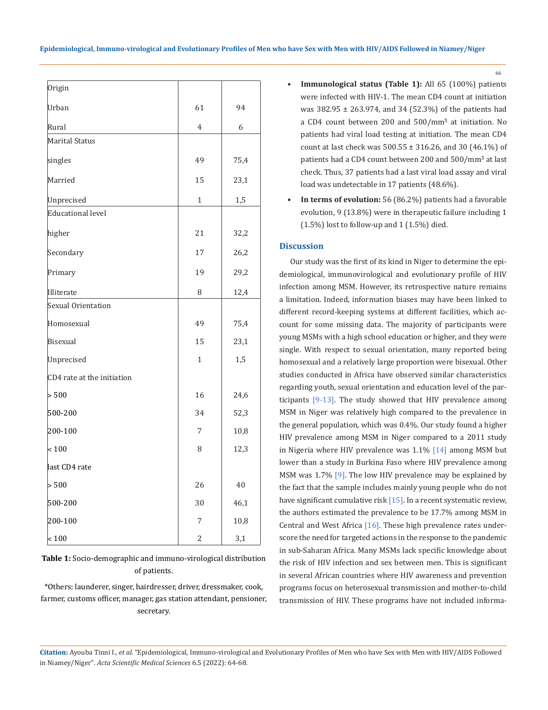| Origin                     |              |      |
|----------------------------|--------------|------|
|                            |              |      |
| Urban                      | 61           | 94   |
| Rural                      | 4            | 6    |
| Marital Status             |              |      |
| singles                    | 49           | 75,4 |
| Married                    | 15           | 23,1 |
| Unprecised                 | $\mathbf{1}$ | 1,5  |
| Educational level          |              |      |
| higher                     | 21           | 32,2 |
| Secondary                  | 17           | 26,2 |
| Primary                    | 19           | 29,2 |
| Illiterate                 | 8            | 12,4 |
| Sexual Orientation         |              |      |
| Homosexual                 | 49           | 75,4 |
| <b>Bisexual</b>            | 15           | 23,1 |
| Unprecised                 | $\mathbf{1}$ | 1,5  |
| CD4 rate at the initiation |              |      |
| > 500                      | 16           | 24,6 |
| 500-200                    | 34           | 52,3 |
| 200-100                    | 7            | 10,8 |
| ${}_{\leq} 100$            | 8            | 12,3 |
| last CD4 rate              |              |      |
| > 500                      | 26           | 40   |
| 500-200                    | 30           | 46,1 |
| 200-100                    | 7            | 10,8 |
| $ $ < 100                  | 2            | 3,1  |

**Table 1:** Socio-demographic and immuno-virological distribution of patients.

\*Others: launderer, singer, hairdresser, driver, dressmaker, cook, farmer, customs officer, manager, gas station attendant, pensioner, secretary.

**• Immunological status (Table 1):** All 65 (100%) patients were infected with HIV-1. The mean CD4 count at initiation was 382.95 ± 263.974, and 34 (52.3%) of the patients had a CD4 count between 200 and 500/mm<sup>3</sup> at initiation. No patients had viral load testing at initiation. The mean CD4 count at last check was  $500.55 \pm 316.26$ , and 30 (46.1%) of patients had a CD4 count between 200 and 500/mm<sup>3</sup> at last check. Thus, 37 patients had a last viral load assay and viral load was undetectable in 17 patients (48.6%).

66

**• In terms of evolution:** 56 (86.2%) patients had a favorable evolution, 9 (13.8%) were in therapeutic failure including 1  $(1.5\%)$  lost to follow-up and 1  $(1.5\%)$  died.

## **Discussion**

Our study was the first of its kind in Niger to determine the epidemiological, immunovirological and evolutionary profile of HIV infection among MSM. However, its retrospective nature remains a limitation. Indeed, information biases may have been linked to different record-keeping systems at different facilities, which account for some missing data. The majority of participants were young MSMs with a high school education or higher, and they were single. With respect to sexual orientation, many reported being homosexual and a relatively large proportion were bisexual. Other studies conducted in Africa have observed similar characteristics regarding youth, sexual orientation and education level of the participants [9-13]. The study showed that HIV prevalence among MSM in Niger was relatively high compared to the prevalence in the general population, which was 0.4%. Our study found a higher HIV prevalence among MSM in Niger compared to a 2011 study in Nigeria where HIV prevalence was 1.1% [14] among MSM but lower than a study in Burkina Faso where HIV prevalence among MSM was 1.7% [9]. The low HIV prevalence may be explained by the fact that the sample includes mainly young people who do not have significant cumulative risk [15]. In a recent systematic review, the authors estimated the prevalence to be 17.7% among MSM in Central and West Africa [16]. These high prevalence rates underscore the need for targeted actions in the response to the pandemic in sub-Saharan Africa. Many MSMs lack specific knowledge about the risk of HIV infection and sex between men. This is significant in several African countries where HIV awareness and prevention programs focus on heterosexual transmission and mother-to-child transmission of HIV. These programs have not included informa-

**Citation:** Ayouba Tinni I*., et al.* "Epidemiological, Immuno-virological and Evolutionary Profiles of Men who have Sex with Men with HIV/AIDS Followed in Niamey/Niger". *Acta Scientific Medical Sciences* 6.5 (2022): 64-68.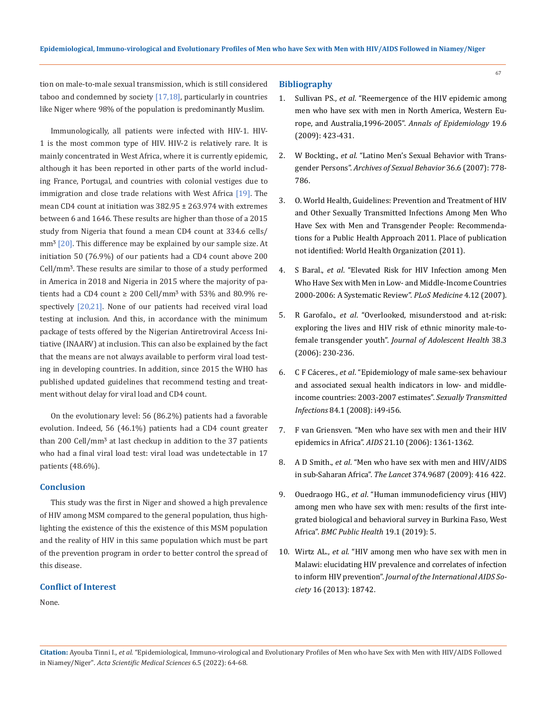tion on male-to-male sexual transmission, which is still considered taboo and condemned by society  $[17,18]$ , particularly in countries like Niger where 98% of the population is predominantly Muslim.

Immunologically, all patients were infected with HIV-1. HIV-1 is the most common type of HIV. HIV-2 is relatively rare. It is mainly concentrated in West Africa, where it is currently epidemic, although it has been reported in other parts of the world including France, Portugal, and countries with colonial vestiges due to immigration and close trade relations with West Africa [19]. The mean CD4 count at initiation was 382.95 ± 263.974 with extremes between 6 and 1646. These results are higher than those of a 2015 study from Nigeria that found a mean CD4 count at 334.6 cells/  $mm<sup>3</sup>$  [20]. This difference may be explained by our sample size. At initiation 50 (76.9%) of our patients had a CD4 count above 200 Cell/mm<sup>3</sup>. These results are similar to those of a study performed in America in 2018 and Nigeria in 2015 where the majority of patients had a CD4 count  $\geq 200$  Cell/mm<sup>3</sup> with 53% and 80.9% respectively [20,21]. None of our patients had received viral load testing at inclusion. And this, in accordance with the minimum package of tests offered by the Nigerian Antiretroviral Access Initiative (INAARV) at inclusion. This can also be explained by the fact that the means are not always available to perform viral load testing in developing countries. In addition, since 2015 the WHO has published updated guidelines that recommend testing and treatment without delay for viral load and CD4 count.

On the evolutionary level: 56 (86.2%) patients had a favorable evolution. Indeed, 56 (46.1%) patients had a CD4 count greater than 200 Cell/mm<sup>3</sup> at last checkup in addition to the 37 patients who had a final viral load test: viral load was undetectable in 17 patients (48.6%).

#### **Conclusion**

This study was the first in Niger and showed a high prevalence of HIV among MSM compared to the general population, thus highlighting the existence of this the existence of this MSM population and the reality of HIV in this same population which must be part of the prevention program in order to better control the spread of this disease.

### **Conflict of Interest**

None.

## **Bibliography**

- 1. Sullivan PS., *et al*[. "Reemergence of the HIV epidemic among](https://www.sciencedirect.com/science/article/abs/pii/S1047279709000751)  [men who have sex with men in North America, Western Eu](https://www.sciencedirect.com/science/article/abs/pii/S1047279709000751)[rope, and Australia,1996-2005".](https://www.sciencedirect.com/science/article/abs/pii/S1047279709000751) *Annals of Epidemiology* 19.6 [\(2009\): 423-431.](https://www.sciencedirect.com/science/article/abs/pii/S1047279709000751)
- 2. W Bockting., *et al*[. "Latino Men's Sexual Behavior with Trans](https://pubmed.ncbi.nlm.nih.gov/17333327/)gender Persons". *[Archives of Sexual Behavior](https://pubmed.ncbi.nlm.nih.gov/17333327/)* 36.6 (2007): 778- [786.](https://pubmed.ncbi.nlm.nih.gov/17333327/)
- 3. O. World Health, Guidelines: Prevention and Treatment of HIV and Other Sexually Transmitted Infections Among Men Who Have Sex with Men and Transgender People: Recommendations for a Public Health Approach 2011. Place of publication not identified: World Health Organization (2011).
- 4. S Baral., *et al*[. "Elevated Risk for HIV Infection among Men](https://journals.plos.org/plosmedicine/article?id=10.1371/journal.pmed.0040339)  [Who Have Sex with Men in Low- and Middle-Income Countries](https://journals.plos.org/plosmedicine/article?id=10.1371/journal.pmed.0040339)  [2000-2006: A Systematic Review".](https://journals.plos.org/plosmedicine/article?id=10.1371/journal.pmed.0040339) *PLoS Medicine* 4.12 (2007).
- 5. R Garofalo., *et al*[. "Overlooked, misunderstood and at-risk:](https://pubmed.ncbi.nlm.nih.gov/16488820/)  [exploring the lives and HIV risk of ethnic minority male-to](https://pubmed.ncbi.nlm.nih.gov/16488820/)female transgender youth". *[Journal of Adolescent Health](https://pubmed.ncbi.nlm.nih.gov/16488820/)* 38.3 [\(2006\): 230-236.](https://pubmed.ncbi.nlm.nih.gov/16488820/)
- 6. C F Cáceres., *et al*[. "Epidemiology of male same-sex behaviour](https://sti.bmj.com/content/84/Suppl_1/i49)  [and associated sexual health indicators in low- and middle](https://sti.bmj.com/content/84/Suppl_1/i49)[income countries: 2003-2007 estimates".](https://sti.bmj.com/content/84/Suppl_1/i49) *Sexually Transmitted Infections* [84.1 \(2008\): i49-i56.](https://sti.bmj.com/content/84/Suppl_1/i49)
- 7. [F van Griensven. "Men who have sex with men and their HIV](https://pubmed.ncbi.nlm.nih.gov/17545714/)  epidemics in Africa". *AIDS* [21.10 \(2006\): 1361-1362.](https://pubmed.ncbi.nlm.nih.gov/17545714/)
- 8. A D Smith., *et al*[. "Men who have sex with men and HIV/AIDS](https://pubmed.ncbi.nlm.nih.gov/19616840/)  in sub-Saharan Africa". *The Lancet* [374.9687 \(2009\): 416 422.](https://pubmed.ncbi.nlm.nih.gov/19616840/)
- 9. Ouedraogo HG., *et al*[. "Human immunodeficiency virus \(HIV\)](https://pubmed.ncbi.nlm.nih.gov/30606172/)  [among men who have sex with men: results of the first inte](https://pubmed.ncbi.nlm.nih.gov/30606172/)[grated biological and behavioral survey in Burkina Faso, West](https://pubmed.ncbi.nlm.nih.gov/30606172/)  Africa". *[BMC Public Health](https://pubmed.ncbi.nlm.nih.gov/30606172/)* 19.1 (2019): 5.
- 10. Wirtz AL., *et al*. "HIV among men who have sex with men in Malawi: elucidating HIV prevalence and correlates of infection to inform HIV prevention". *Journal of the International AIDS Society* 16 (2013): 18742.

67